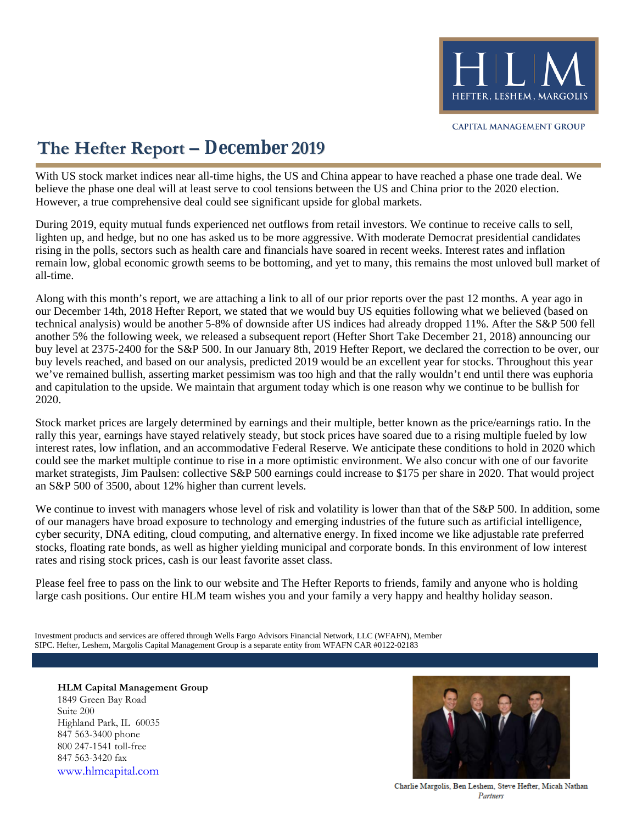

# **The Hefter Report – December 2019**

With US stock market indices near all-time highs, the US and China appear to have reached a phase one trade deal. We believe the phase one deal will at least serve to cool tensions between the US and China prior to the 2020 election. However, a true comprehensive deal could see significant upside for global markets.

During 2019, equity mutual funds experienced net outflows from retail investors. We continue to receive calls to sell, lighten up, and hedge, but no one has asked us to be more aggressive. With moderate Democrat presidential candidates rising in the polls, sectors such as health care and financials have soared in recent weeks. Interest rates and inflation remain low, global economic growth seems to be bottoming, and yet to many, this remains the most unloved bull market of all-time.

Along with this month's report, we are attaching a link to all of our prior reports over the past 12 months. A year ago in our December 14th, 2018 Hefter Report, we stated that we would buy US equities following what we believed (based on technical analysis) would be another 5-8% of downside after US indices had already dropped 11%. After the S&P 500 fell another 5% the following week, we released a subsequent report (Hefter Short Take December 21, 2018) announcing our buy level at 2375-2400 for the S&P 500. In our January 8th, 2019 Hefter Report, we declared the correction to be over, our buy levels reached, and based on our analysis, predicted 2019 would be an excellent year for stocks. Throughout this year we've remained bullish, asserting market pessimism was too high and that the rally wouldn't end until there was euphoria and capitulation to the upside. We maintain that argument today which is one reason why we continue to be bullish for 2020.

Stock market prices are largely determined by earnings and their multiple, better known as the price/earnings ratio. In the rally this year, earnings have stayed relatively steady, but stock prices have soared due to a rising multiple fueled by low interest rates, low inflation, and an accommodative Federal Reserve. We anticipate these conditions to hold in 2020 which could see the market multiple continue to rise in a more optimistic environment. We also concur with one of our favorite market strategists, Jim Paulsen: collective S&P 500 earnings could increase to \$175 per share in 2020. That would project an S&P 500 of 3500, about 12% higher than current levels.

We continue to invest with managers whose level of risk and volatility is lower than that of the S&P 500. In addition, some of our managers have broad exposure to technology and emerging industries of the future such as artificial intelligence, cyber security, DNA editing, cloud computing, and alternative energy. In fixed income we like adjustable rate preferred stocks, floating rate bonds, as well as higher yielding municipal and corporate bonds. In this environment of low interest rates and rising stock prices, cash is our least favorite asset class.

Please feel free to pass on the link to our website and The Hefter Reports to friends, family and anyone who is holding large cash positions. Our entire HLM team wishes you and your family a very happy and healthy holiday season.

SIPC. Hefter, Leshem, Margolis Capital Management Group is a separate entity from WFAFN CAR #0122-02183 Investment products and services are offered through Wells Fargo Advisors Financial Network, LLC (WFAFN), Member

**HLM Capital Management Group** 1849 Green Bay Road Suite 200 Highland Park, IL 60035 847 563-3400 phone 800 247-1541 toll-free 847 563-3420 fax [www.hlmcapital.com](http://www.hlmcapital.com/)



Charlie Margolis, Ben Leshem, Steve Hefter, Micah Nathan Partners